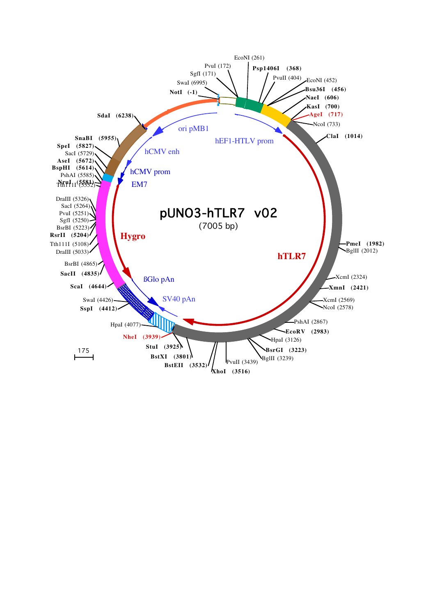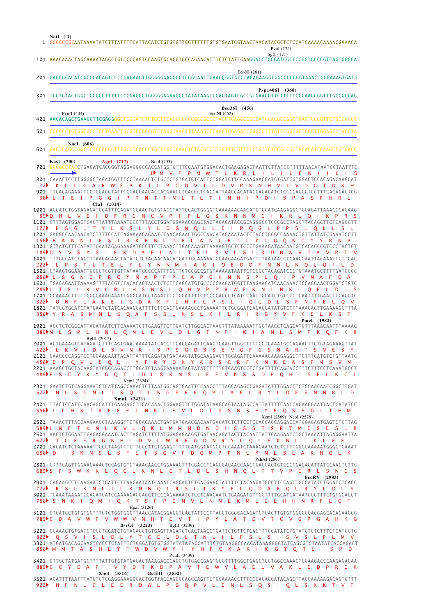GCGGCCGCAATAAAATATCTTTATTTTCATTACATCTGTGTGTTGGTTTTTTGTGTGAATCGTAACTAACATACGCTCTCCATCAAAACAAAACGAAACA 1 101 AAACAAACTAGCAAAATAGGCTGTCCCCAGTGCAAGTGCAGGTGCCAGAACATTTCTCTATCGAAGGATCTGCGATCGCTCCGGTGCCCGTCAGTGGGCA GAGCGCACATCGCCCACAGTCCCCGAGAAGTTGGGGGGAGGGGTCGGCAATTGAACG GGTGCCTAGAGAAGGTGGCGCGGGGTAAACTGGGAAAGTGATG 201 301 TCGTGTACTGGCTCCGCCTTTTTCCCGAGGGTGGGGGAGAACCGTATATAAGTGCAGTAGTCGCCGTGAACGTTCTTTTTCGCAACGGGTTTGCCGCCAG PvuII (404)<br>AACACAGCTGAAGCTTCGAG GGGCTCGCATCTCCTTCACGCGCCGCCGCCCTACCTGAGGCCGCCATCCACGCCGGTTGAGTCGCGTTCTGCCGCCTTE CCCGCCTGTGGTGCCTCCTGAACTGCGTCCGCCGTCTAGGTAAGTTTAAAGCTCAGGTCGAGACCGGGCCTTTGTCCGGCGCTCCCTTGGAGCCTACCTA 501 GACTCAGCCGGCTCTCCACGCTTTGCCTGACCCTGCTTGCTCAACTCTACGTCTTTGTTTCGTTTTCTGTTCTGCGCCGTTACAGATCCAAGCTGTGACC 601 GGCGCCTACCTGAGATCACCGGTAGGAGGGCCACCATGGTGTTTCCAATGTGGACACTGAAGAGACT AATTCTTATCCTTTTTAACATAATCCTAATTTC **KasI (700) AgeI (717)** NcoI (733) 701 CAAACTCCTTGGGGCTAGATGGTTTCCTAAAACTCTGCCCTGTGATGTCACTCTGGATGTTCCAAAGAACCATGTGATCGTGGACTGCACAGACAAGCAT 801 TTGACAGAAATTCCTGGAGGTATTCCCACGAACACCACGAACCTCACCCTCACCATTAACCACATACCAGACATCTCCCCAGCGTCCTTTCACAGACTGG 1001 ACCATCTGGTAGAGATCGATTTCAGATGCAACTGTGTACCTATTCCACTGGGGTCAAAAAACAACATGTGCATCAAGAGGGCTGCAGATTAAACCCAGAAG CTTTAGTGGACTCACTTATTTAAAATCCCTTTACCTGGATGGAAACCAGCTACTAGAGATACCGCAGGGCCTCCCGCCTAGCTTACAGCTTCTCAGCCTT 1101 1201 GAGGCCAACAACATCTTTTCCATCAGAAAAGAGAATCTAACAGAACTGGCCAACATAGAAATACTCTACCTGGGCCAAAACTGTTATTATCGAAATCCTT 1301 GTTATGTTTCATATTCAATAGAGAAAGATGCCTTCCTAAACTTGACAAAGTTAAAAGTGCTCTCCCTGAAAGATAACAATGTCACAGCCGTCCCTACTGT 1401 TTTGCCATCTACTTTAACAGAACTATATCTCTACAACAACATGATTGCAAAAATCCAAGAAGATGATTTTAATAACCTCAACCAATTACAAATTCTTGAC CTAAGTGGAAATTGCCCTCGTTGTTATAATGCCCCATTTCCTTGTGCGCCGTGTAAAAATAATTCTCCCCTACAGATCCCTGTAAATGCTTTTGATGCGC 1501 1601 TGACAGAATTAAAAGTTTTACGTCTACACAGTAACTCTCTTCAGCATGTGCCCCCAAGATGGTTTAAGAACATCAACAAACTCCAGGAACTGGATCTGTC 1701 CCAAAACTTCTTGGCCAAAGAAATTGGGGATGCTAAATTTCTGCATTTTCTCCCCAGCCTCATCCAATTGGATCTGTCTTTCAATTTTGAACTTCAGGTC 1801 TATCGTGCATCTATGAATCTATCACAAGCATTTTCTTCACTGAAAAGCCTGAAAATTCTGCGGATCAGAGGATATGTCTTTAAAGAGTTGAAAAGCTTTA 1901 ACCTCTCGCCATTACATAATCTTCAAAATCTTGAAGTTCTTGATCTTGGCACTAACTTTATAAAAATTGCTAACCTCAGCATGTTTAAACAATTTAAAAG 2001 ACTGAAAGTCATAGATCTTTCAGTGAATAAAATATCACCTTCAGGAGATTCAAGTGAAGTTGGCTTCTGCTCAAATGCCAGAACTTCTGTAGAAAGTTAT 2**101** GAACCCCAGGTCCTGGAACAATTACATTATTTCAGATATGATAAGTATGCAAGGAGTTGCAGATTCAAAAACAAAGAGGCTTCTTTCATGTCTGTTAATG AAAGCTGCTACAAGTATGGGCAGACCTTGGATCTAAGTAAAAATAGTATATTTTTTGTCAAGTCCTCTGATTTTCAGCATCTTTCTTTCCTCAAATGCCT 2301 GAATCTGTCAGGAAATCTCATTAGCCAAACTCTTAATGGCAGTGAATTCCAACCTTTAGCAGAGCTGAGATATTTGGACTTCTCCAACAACCGGCTTGAT 2401 TTACTCCATTCAACAGCATTTGAAGAGCTTCACAAACTGGAAGTTCTGGATATAAGCAGTAATAGCCATTATTTTCAATCAGAAGGAATTACTCATATGC TAAACTTTACCAAGAACCTAAAGGTTCTGCAGAAACTGATGATGAACGACAATGACATCTCTTCCTCCACCAGCAGGACCATGGAGAGTGAGTCTCTTAG 2501 2601 AACTCTGGAATTCAGAGGAAATCACTTAGATGTTTTATGGAGAGAAGGTGATAACAGATACTTACAATTATTCAAGAATCTGCTAAAATTAGAGGAATTA 2701 GACATCTCTAAAAATTCCCTAAGTTTCTTGCCTTCTGGAGTTTTTGATGGTATGCCTCCAAATCTAAAGAATCTCTCTTTGGCCAAAAATGGGCTCAAAT CTTTCAGTTGGAAGAAACTCCAGTGTCTAAAGAACCTGGAAACTTTGGACCTCAGCCACAACCAACTGACCACTGTCCCTGAGAGATTATCCAACTGTTC 2801 2901 CAGAAGCCTCAAGAATCTGATTCTTAAGAATAATCAAATCAGGAGTCTGACGAAGTATTTTCTACAAGATGCCTTCCAGTTGCGATATCTGGATCTCAGC 3001 TCAAATAAAATCCAGATGATCCAAAAGACCAGCTTCCCAGAAAATGTCCTCAACAATCTGAAGATGTTGCTTTTGCATCATAATCGGTTTCTGTGCACCT 3101 GTGATGCTGTGTGGTTTGTCTGGTGGGTTAACCATACGGAGGTGACTATTCCTTACCTGGCCACAGATGTGACTTGTGTGGGGCCAGGAGCACACAAGGG **BsrGI (3223) BglII** (3239)<br>**3201** CCAAAGTGTGATCTCCCCTGGATCTGTACACCTGTGAGTTAGATCTGACTAACCTGATTCTGTCTCACTTTCCATATCTGTATCTCTTTCTCATGGTG 3301 ATGATGACAGCAAGTCACCTCTATTTCTGGGATGTGTGGTATAT**A** TACCATTTCTGTAAGGCCAAGATAA**A** GGGGTATCAGCGTCTAATATCACCAGACT 3401 GTTGCTATGATGCTTTTATTGTGTATGACACTAAAGACCCAGCTGTGACCGAGTGGGTTTTGGCTGAGCTGGTGGCCAAACTGGAAGACCCAAGAGAGAA 3501 ACATTTTAATTTATGTCTCGAGGAAAGGGACTGGTTACCAGGGCAGCCAGTTCTGGAAAACCTTTCCCAGAGCATACAGCTTAGCAAAAAGACAGTGTTT M V F P M W T L K R L I L I L F N I I L I S 1 K L L G A R W F P K T L P C D V T L D V P K N H V I V D C T D K H L T E I P G G I P T N T T N L T L T I N H I P D I S P A S F H R L 5 6 V E I D F R C N C V P I P L G S K N N M C I K R L Q I K P R S F S G L T Y L K S L Y L D G N Q L L E I P Q G L P P S L Q L L S L E A N N I F S I R K E N L T E L A N I E I L Y L G Q N C Y Y R N P S I E K D A F L N L T K L K V L S L K D N N V T A L P S T L T E L Y L Y N N M I A K I Q E D D F N N L N Q L Q I L D L S G N C P R C Y N A P F P C A P C K N N S P L Q I P V N A F D A 289PL T E L K V L R L H S N S L Q H V P P R W F K N I N K L Q E L D L S Q N F L A K E I G D A K F L H F L P S L I Q L D L S F N F E L Q Y R A S M N L S Q A F S S L K S L K I L R I R G Y V F K E L K S F 356 389 N L S P L H N L Q N L E V L D L G T N F I K I A N L S M F K Q F K R L K V I D L S V N K I S P S G D S S E V G F C S N A R T S V E S Y 422 E P Q V L E Q L H Y F R Y D K Y A R S C R F K N K E A S F M S V N 489PE S C Y K Y G Q T L D L S K N S I F F V K S S D F Q H L S F L K C L N L S G N L I S Q T L N G S E F Q P L A E L R Y L D F S N N R L D 522 L L H S T A F E E L H K L E V L D I S S N S H Y F Q S E G I T H M 556 589PL N F T K N L K V L Q K L M M N D N D I S S S T S R T M E S E S L R T L E F R G N H L D V L W R E G D N R Y L Q L F K N L L K L E E L D I S K N S L S F L P S G V F D G M P P N L K N L S L A K N G L K 656 S F S W K K L Q C L K N L E T L D L S H N Q L T T V P E R L S N C S 689 R S L K N L I L K N N Q I R S L T K Y F L Q D A F Q L R Y L D L S 756NS N K I Q M I Q K T S F P E N V L N N L K M L L L H H N R F L C T 789ÞC DA V W F V W W V N H T E V T I P Y L A T D V T C V G P G A H K G Q S V I S L D L Y T C E L D L T N L I L F S L S I S V S L F L M V M M T A S H L Y F W D V W Y I Y H F C K A K I K G Y Q R L I S P D 856 889PC C Y D A F I V Y D T K D P A V T E W V L A E L V A K L E D P R E K H F N L C L E E R D W L P G Q P V L E N L S Q S I Q L S K K T V F **NotI (-1)** SgfI (171) PvuI (172) EcoNI (261) **Psp1406I (368) Bsu36I** (456)<br>EcoNI (452) **NaeI (606) ClaI (1014) PmeI (1982)** BglII (2012) XcmI (2324) **XmnI (2421)** XcmI (2569) NcoI (2578) PshAI (2867) **EcoRV (2983)** HpaI (3126) PvuII (3439) **XhoI (3516) BstEII (3532)** 901 2201 2 2  $89 \text{h} \cdot \text{h} \cdot \text{h}$  $122$ 156 189**▶**C 222 256 322 456 622 722  $822$ 922